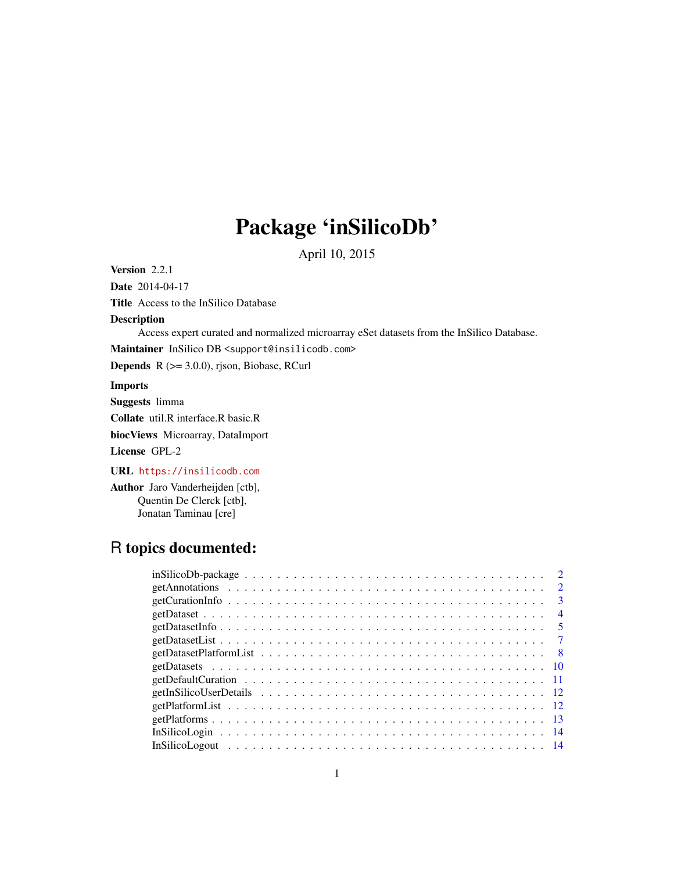## Package 'inSilicoDb'

April 10, 2015

Version 2.2.1

Date 2014-04-17

Title Access to the InSilico Database

### Description

Access expert curated and normalized microarray eSet datasets from the InSilico Database.

Maintainer InSilico DB <support@insilicodb.com>

Depends R (>= 3.0.0), rjson, Biobase, RCurl

#### Imports

Suggests limma

Collate util.R interface.R basic.R

biocViews Microarray, DataImport

License GPL-2

URL <https://insilicodb.com>

Author Jaro Vanderheijden [ctb], Quentin De Clerck [ctb], Jonatan Taminau [cre]

## R topics documented:

| $insilicoDb-package \ldots \ldots \ldots \ldots \ldots \ldots \ldots \ldots \ldots \ldots \ldots \ldots$ |
|----------------------------------------------------------------------------------------------------------|
| $\overline{2}$                                                                                           |
| $\mathbf{3}$                                                                                             |
| $\overline{4}$                                                                                           |
| $\sqrt{5}$                                                                                               |
|                                                                                                          |
|                                                                                                          |
|                                                                                                          |
|                                                                                                          |
|                                                                                                          |
|                                                                                                          |
|                                                                                                          |
|                                                                                                          |
|                                                                                                          |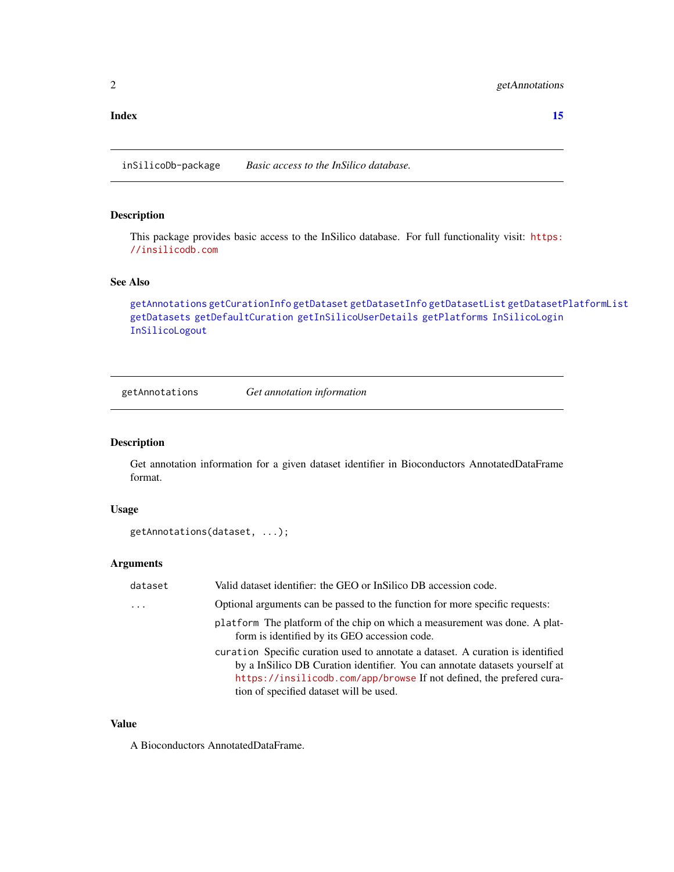#### <span id="page-1-0"></span>**Index** [15](#page-14-0)

inSilicoDb-package *Basic access to the InSilico database.*

## Description

This package provides basic access to the InSilico database. For full functionality visit: [https:](https://insilicodb.com) [//insilicodb.com](https://insilicodb.com)

#### See Also

[getAnnotations](#page-1-1) [getCurationInfo](#page-2-1) [getDataset](#page-3-1) [getDatasetInfo](#page-4-1) [getDatasetList](#page-6-1) [getDatasetPlatformList](#page-7-1) [getDatasets](#page-9-1) [getDefaultCuration](#page-10-1) [getInSilicoUserDetails](#page-11-1) [getPlatforms](#page-12-1) [InSilicoLogin](#page-13-1) [InSilicoLogout](#page-13-2)

<span id="page-1-1"></span>getAnnotations *Get annotation information*

## Description

Get annotation information for a given dataset identifier in Bioconductors AnnotatedDataFrame format.

## Usage

```
getAnnotations(dataset, ...);
```
## Arguments

| dataset  | Valid dataset identifier: the GEO or InSilico DB accession code.                                                                                               |  |
|----------|----------------------------------------------------------------------------------------------------------------------------------------------------------------|--|
| $\cdots$ | Optional arguments can be passed to the function for more specific requests:                                                                                   |  |
|          | platform The platform of the chip on which a measurement was done. A plat-<br>form is identified by its GEO accession code.                                    |  |
|          | curation Specific curation used to annotate a dataset. A curation is identified<br>by a InSilico DB Curation identifier. You can annotate datasets yourself at |  |
|          | https://insilicodb.com/app/browse If not defined, the prefered cura-<br>tion of specified dataset will be used.                                                |  |

#### Value

A Bioconductors AnnotatedDataFrame.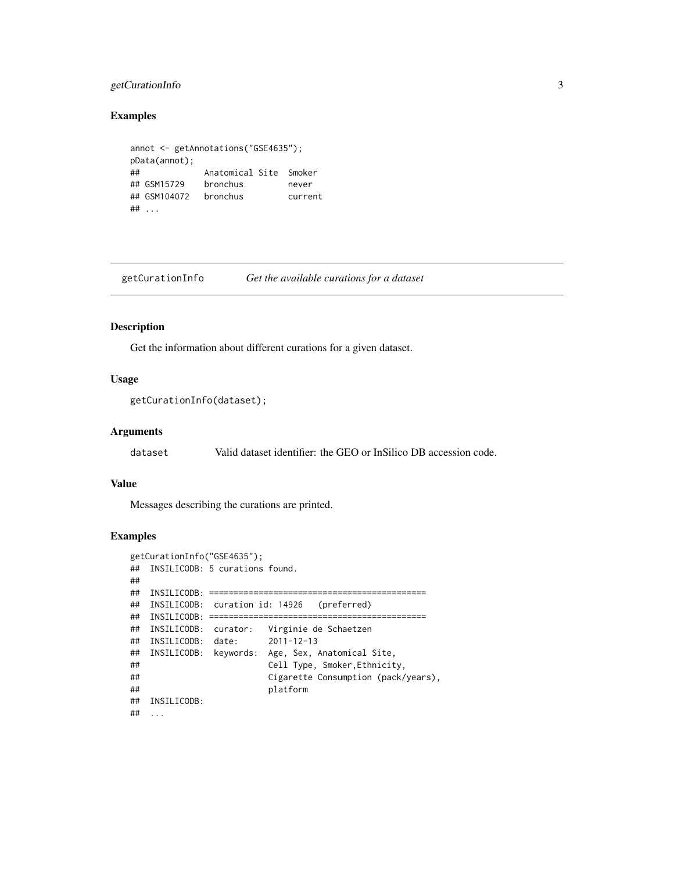## <span id="page-2-0"></span>getCurationInfo 3

## Examples

```
annot <- getAnnotations("GSE4635");
pData(annot);
## Anatomical Site Smoker
## GSM15729 bronchus never
## GSM104072 bronchus current
## ...
```
<span id="page-2-1"></span>getCurationInfo *Get the available curations for a dataset*

## Description

Get the information about different curations for a given dataset.

### Usage

```
getCurationInfo(dataset);
```
## Arguments

dataset Valid dataset identifier: the GEO or InSilico DB accession code.

## Value

Messages describing the curations are printed.

```
getCurationInfo("GSE4635");
## INSILICODB: 5 curations found.
##
## INSILICODB: ============================================
## INSILICODB: curation id: 14926 (preferred)
## INSILICODB: ============================================
## INSILICODB: curator: Virginie de Schaetzen
## INSILICODB: date: 2011-12-13
## INSILICODB: keywords: Age, Sex, Anatomical Site,
## Cell Type, Smoker,Ethnicity,
## Cigarette Consumption (pack/years),
## platform
## INSILICODB:
## ...
```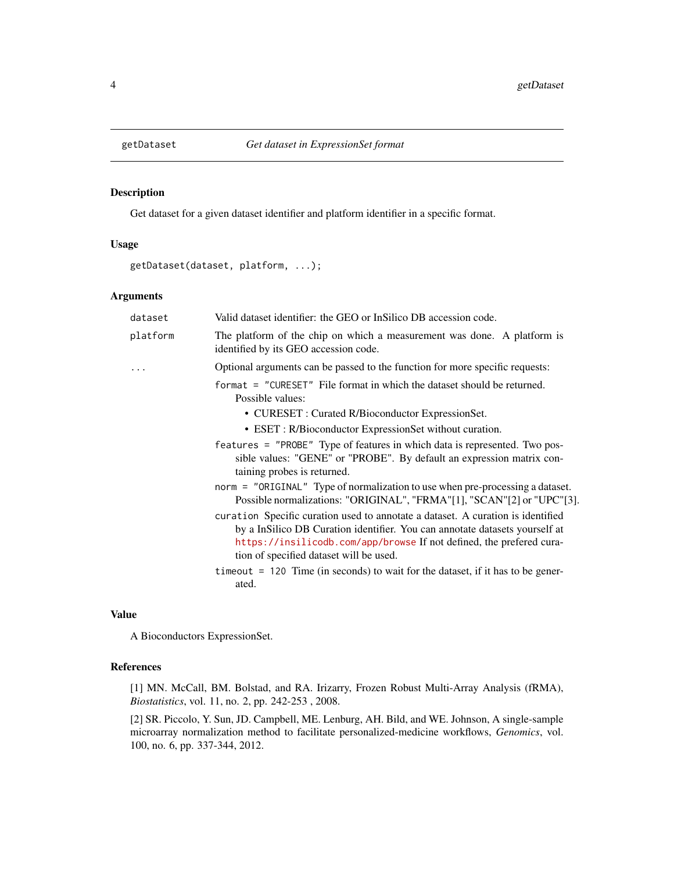<span id="page-3-1"></span><span id="page-3-0"></span>

## Description

Get dataset for a given dataset identifier and platform identifier in a specific format.

## Usage

```
getDataset(dataset, platform, ...);
```
## Arguments

|  | dataset  | Valid dataset identifier: the GEO or InSilico DB accession code.                                                                                                                                                                                                                  |
|--|----------|-----------------------------------------------------------------------------------------------------------------------------------------------------------------------------------------------------------------------------------------------------------------------------------|
|  | platform | The platform of the chip on which a measurement was done. A platform is<br>identified by its GEO accession code.                                                                                                                                                                  |
|  | .        | Optional arguments can be passed to the function for more specific requests:                                                                                                                                                                                                      |
|  |          | format = "CURESET" File format in which the dataset should be returned.<br>Possible values:                                                                                                                                                                                       |
|  |          | • CURESET : Curated R/Bioconductor ExpressionSet.                                                                                                                                                                                                                                 |
|  |          | • ESET : R/Bioconductor ExpressionSet without curation.                                                                                                                                                                                                                           |
|  |          | features = "PROBE" Type of features in which data is represented. Two pos-<br>sible values: "GENE" or "PROBE". By default an expression matrix con-<br>taining probes is returned.                                                                                                |
|  |          | norm = "ORIGINAL" Type of normalization to use when pre-processing a dataset.<br>Possible normalizations: "ORIGINAL", "FRMA"[1], "SCAN"[2] or "UPC"[3].                                                                                                                           |
|  |          | curation Specific curation used to annotate a dataset. A curation is identified<br>by a InSilico DB Curation identifier. You can annotate datasets yourself at<br>https://insilicodb.com/app/browse If not defined, the prefered cura-<br>tion of specified dataset will be used. |
|  |          | $t$ imeout = 120 Time (in seconds) to wait for the dataset, if it has to be gener-<br>ated.                                                                                                                                                                                       |

## Value

A Bioconductors ExpressionSet.

## References

[1] MN. McCall, BM. Bolstad, and RA. Irizarry, Frozen Robust Multi-Array Analysis (fRMA), *Biostatistics*, vol. 11, no. 2, pp. 242-253 , 2008.

[2] SR. Piccolo, Y. Sun, JD. Campbell, ME. Lenburg, AH. Bild, and WE. Johnson, A single-sample microarray normalization method to facilitate personalized-medicine workflows, *Genomics*, vol. 100, no. 6, pp. 337-344, 2012.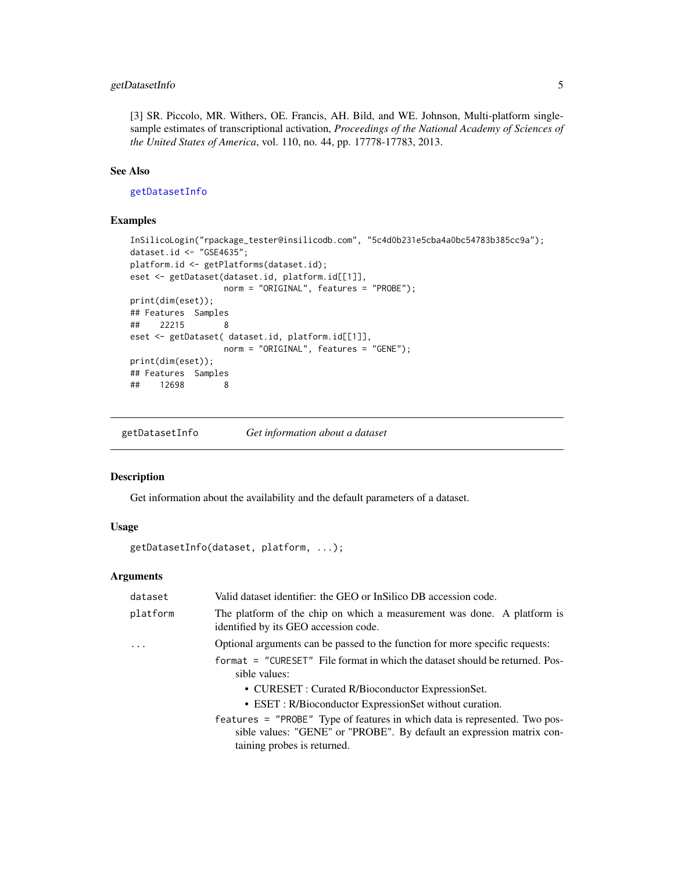## <span id="page-4-0"></span>getDatasetInfo 5

[3] SR. Piccolo, MR. Withers, OE. Francis, AH. Bild, and WE. Johnson, Multi-platform singlesample estimates of transcriptional activation, *Proceedings of the National Academy of Sciences of the United States of America*, vol. 110, no. 44, pp. 17778-17783, 2013.

## See Also

#### [getDatasetInfo](#page-4-1)

#### Examples

```
InSilicoLogin("rpackage_tester@insilicodb.com", "5c4d0b231e5cba4a0bc54783b385cc9a");
dataset.id <- "GSE4635";
platform.id <- getPlatforms(dataset.id);
eset <- getDataset(dataset.id, platform.id[[1]],
                  norm = "ORIGINAL", features = "PROBE");
print(dim(eset));
## Features Samples
## 22215 8
eset <- getDataset( dataset.id, platform.id[[1]],
                  norm = "ORIGINAL", features = "GENE");
print(dim(eset));
## Features Samples
## 12698 8
```
<span id="page-4-1"></span>getDatasetInfo *Get information about a dataset*

#### Description

Get information about the availability and the default parameters of a dataset.

## Usage

```
getDatasetInfo(dataset, platform, ...);
```
## Arguments

| dataset  | Valid dataset identifier: the GEO or InSilico DB accession code.                                                                                                                                                                                                                                                                                                                                    |  |
|----------|-----------------------------------------------------------------------------------------------------------------------------------------------------------------------------------------------------------------------------------------------------------------------------------------------------------------------------------------------------------------------------------------------------|--|
| platform | The platform of the chip on which a measurement was done. A platform is<br>identified by its GEO accession code.                                                                                                                                                                                                                                                                                    |  |
|          | Optional arguments can be passed to the function for more specific requests:                                                                                                                                                                                                                                                                                                                        |  |
|          | format = "CURESET" File format in which the dataset should be returned. Pos-<br>sible values:<br>• CURESET : Curated R/Bioconductor ExpressionSet.<br>• ESET : R/Bioconductor ExpressionSet without curation.<br>features = "PROBE" Type of features in which data is represented. Two pos-<br>sible values: "GENE" or "PROBE". By default an expression matrix con-<br>taining probes is returned. |  |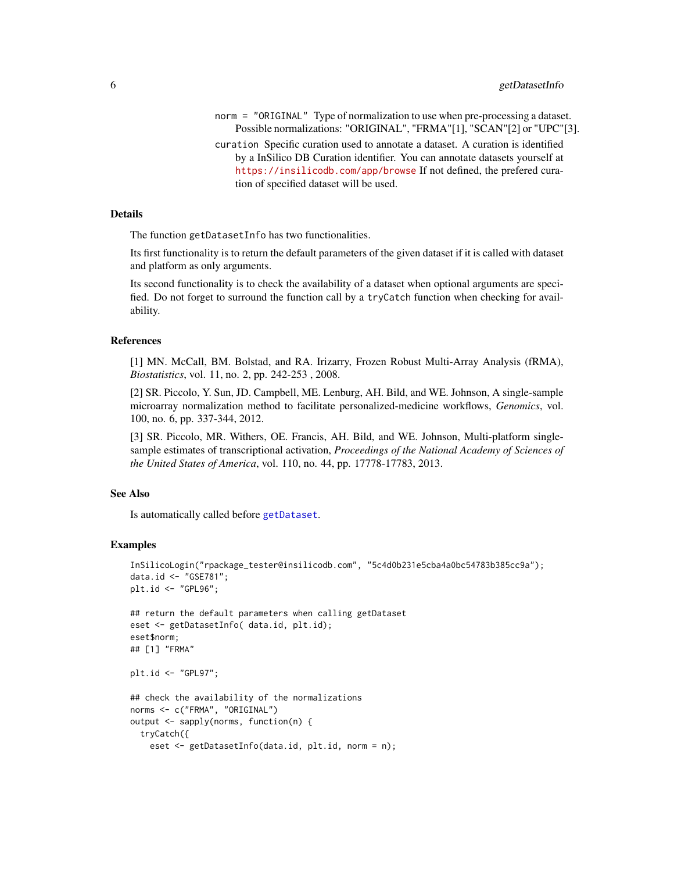- norm = "ORIGINAL" Type of normalization to use when pre-processing a dataset. Possible normalizations: "ORIGINAL", "FRMA"[1], "SCAN"[2] or "UPC"[3].
- curation Specific curation used to annotate a dataset. A curation is identified by a InSilico DB Curation identifier. You can annotate datasets yourself at <https://insilicodb.com/app/browse> If not defined, the prefered curation of specified dataset will be used.

#### Details

The function getDatasetInfo has two functionalities.

Its first functionality is to return the default parameters of the given dataset if it is called with dataset and platform as only arguments.

Its second functionality is to check the availability of a dataset when optional arguments are specified. Do not forget to surround the function call by a tryCatch function when checking for availability.

#### References

[1] MN. McCall, BM. Bolstad, and RA. Irizarry, Frozen Robust Multi-Array Analysis (fRMA), *Biostatistics*, vol. 11, no. 2, pp. 242-253 , 2008.

[2] SR. Piccolo, Y. Sun, JD. Campbell, ME. Lenburg, AH. Bild, and WE. Johnson, A single-sample microarray normalization method to facilitate personalized-medicine workflows, *Genomics*, vol. 100, no. 6, pp. 337-344, 2012.

[3] SR. Piccolo, MR. Withers, OE. Francis, AH. Bild, and WE. Johnson, Multi-platform singlesample estimates of transcriptional activation, *Proceedings of the National Academy of Sciences of the United States of America*, vol. 110, no. 44, pp. 17778-17783, 2013.

#### See Also

Is automatically called before [getDataset](#page-3-1).

```
InSilicoLogin("rpackage_tester@insilicodb.com", "5c4d0b231e5cba4a0bc54783b385cc9a");
data.id <- "GSE781";
plt.id <- "GPL96";
## return the default parameters when calling getDataset
eset <- getDatasetInfo( data.id, plt.id);
eset$norm;
## [1] "FRMA"
plt.id <- "GPL97";
## check the availability of the normalizations
norms <- c("FRMA", "ORIGINAL")
output <- sapply(norms, function(n) {
 tryCatch({
   eset <- getDatasetInfo(data.id, plt.id, norm = n);
```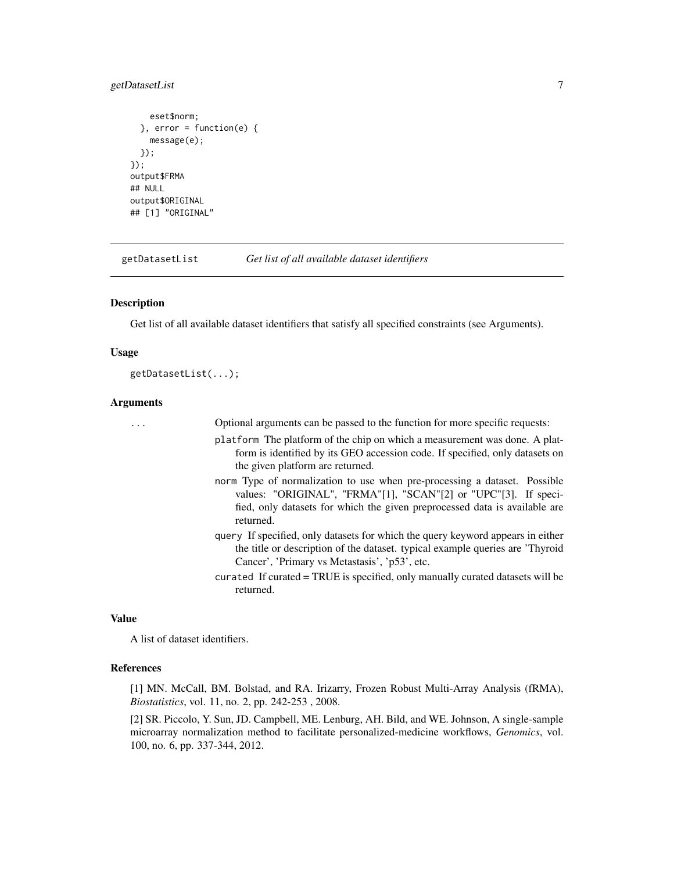## <span id="page-6-0"></span>getDatasetList 7

```
eset$norm;
 \}, error = function(e) {
   message(e);
 });
});
output$FRMA
## NULL
output$ORIGINAL
## [1] "ORIGINAL"
```
<span id="page-6-1"></span>getDatasetList *Get list of all available dataset identifiers*

#### Description

Get list of all available dataset identifiers that satisfy all specified constraints (see Arguments).

#### Usage

getDatasetList(...);

#### Arguments

... Optional arguments can be passed to the function for more specific requests:

- platform The platform of the chip on which a measurement was done. A platform is identified by its GEO accession code. If specified, only datasets on the given platform are returned.
- norm Type of normalization to use when pre-processing a dataset. Possible values: "ORIGINAL", "FRMA"[1], "SCAN"[2] or "UPC"[3]. If specified, only datasets for which the given preprocessed data is available are returned.
- query If specified, only datasets for which the query keyword appears in either the title or description of the dataset. typical example queries are 'Thyroid Cancer', 'Primary vs Metastasis', 'p53', etc.
- curated If curated = TRUE is specified, only manually curated datasets will be returned.

#### Value

A list of dataset identifiers.

#### References

[1] MN. McCall, BM. Bolstad, and RA. Irizarry, Frozen Robust Multi-Array Analysis (fRMA), *Biostatistics*, vol. 11, no. 2, pp. 242-253 , 2008.

[2] SR. Piccolo, Y. Sun, JD. Campbell, ME. Lenburg, AH. Bild, and WE. Johnson, A single-sample microarray normalization method to facilitate personalized-medicine workflows, *Genomics*, vol. 100, no. 6, pp. 337-344, 2012.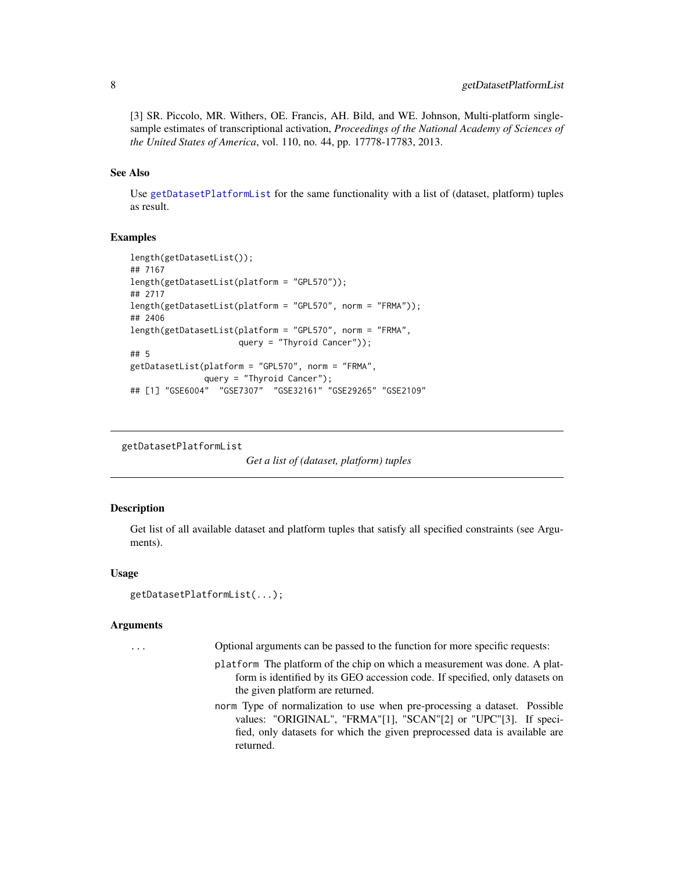<span id="page-7-0"></span>[3] SR. Piccolo, MR. Withers, OE. Francis, AH. Bild, and WE. Johnson, Multi-platform singlesample estimates of transcriptional activation, *Proceedings of the National Academy of Sciences of the United States of America*, vol. 110, no. 44, pp. 17778-17783, 2013.

## See Also

Use [getDatasetPlatformList](#page-7-1) for the same functionality with a list of (dataset, platform) tuples as result.

#### Examples

```
length(getDatasetList());
## 7167
length(getDatasetList(platform = "GPL570"));
## 2717
length(getDatasetList(platform = "GPL570", norm = "FRMA"));
## 2406
length(getDatasetList(platform = "GPL570", norm = "FRMA",
                      query = "Thyroid Cancer"));
## 5
getDatasetList(platform = "GPL570", norm = "FRMA",
               query = "Thyroid Cancer");
## [1] "GSE6004" "GSE7307" "GSE32161" "GSE29265" "GSE2109"
```
<span id="page-7-1"></span>getDatasetPlatformList

```
Get a list of (dataset, platform) tuples
```
## Description

Get list of all available dataset and platform tuples that satisfy all specified constraints (see Arguments).

## Usage

```
getDatasetPlatformList(...);
```
#### **Arguments**

... Optional arguments can be passed to the function for more specific requests:

- platform The platform of the chip on which a measurement was done. A platform is identified by its GEO accession code. If specified, only datasets on the given platform are returned.
- norm Type of normalization to use when pre-processing a dataset. Possible values: "ORIGINAL", "FRMA"[1], "SCAN"[2] or "UPC"[3]. If specified, only datasets for which the given preprocessed data is available are returned.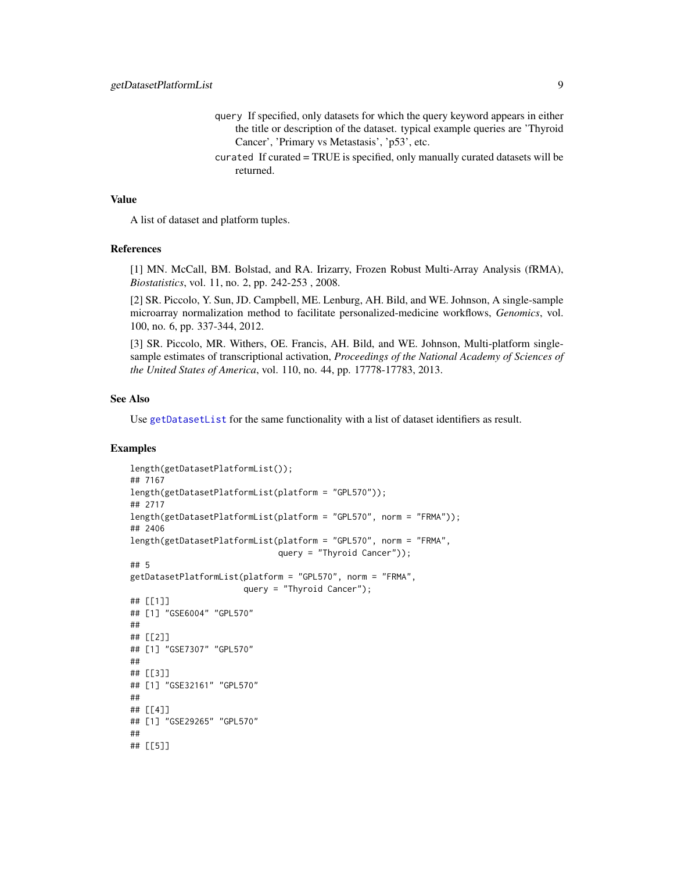- query If specified, only datasets for which the query keyword appears in either the title or description of the dataset. typical example queries are 'Thyroid Cancer', 'Primary vs Metastasis', 'p53', etc.
- curated If curated = TRUE is specified, only manually curated datasets will be returned.

## Value

A list of dataset and platform tuples.

#### References

[1] MN. McCall, BM. Bolstad, and RA. Irizarry, Frozen Robust Multi-Array Analysis (fRMA), *Biostatistics*, vol. 11, no. 2, pp. 242-253 , 2008.

[2] SR. Piccolo, Y. Sun, JD. Campbell, ME. Lenburg, AH. Bild, and WE. Johnson, A single-sample microarray normalization method to facilitate personalized-medicine workflows, *Genomics*, vol. 100, no. 6, pp. 337-344, 2012.

[3] SR. Piccolo, MR. Withers, OE. Francis, AH. Bild, and WE. Johnson, Multi-platform singlesample estimates of transcriptional activation, *Proceedings of the National Academy of Sciences of the United States of America*, vol. 110, no. 44, pp. 17778-17783, 2013.

#### See Also

Use [getDatasetList](#page-6-1) for the same functionality with a list of dataset identifiers as result.

```
length(getDatasetPlatformList());
## 7167
length(getDatasetPlatformList(platform = "GPL570"));
## 2717
length(getDatasetPlatformList(platform = "GPL570", norm = "FRMA"));
## 2406
length(getDatasetPlatformList(platform = "GPL570", norm = "FRMA",
                              query = "Thyroid Cancer"));
## 5
getDatasetPlatformList(platform = "GPL570", norm = "FRMA",
                       query = "Thyroid Cancer");
## [[1]]
## [1] "GSE6004" "GPL570"
##
## [[2]]
## [1] "GSE7307" "GPL570"
##
## [[3]]
## [1] "GSE32161" "GPL570"
##
## [[4]]
## [1] "GSE29265" "GPL570"
##
## [[5]]
```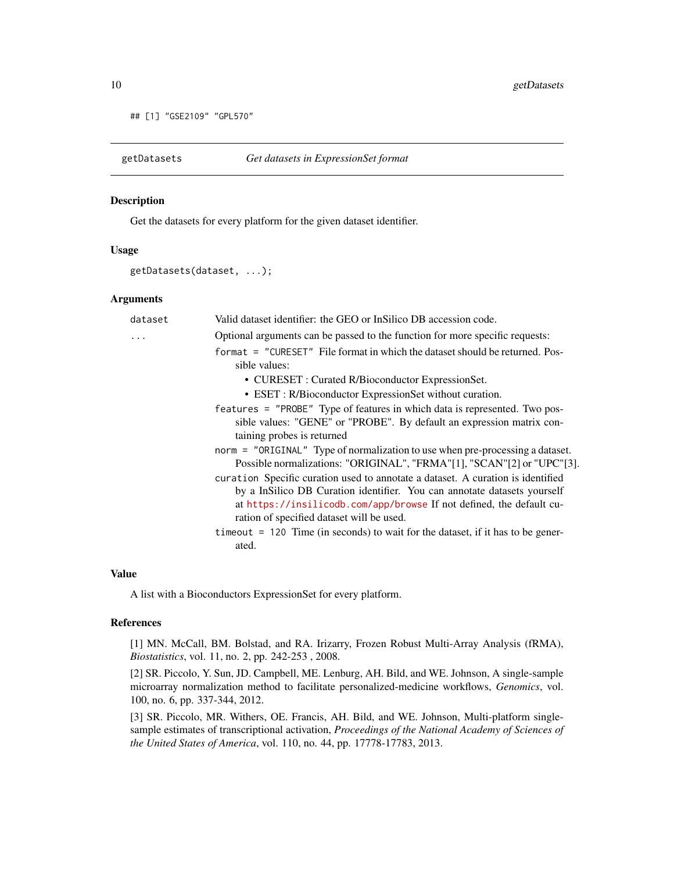```
## [1] "GSE2109" "GPL570"
```
<span id="page-9-1"></span>

## Description

Get the datasets for every platform for the given dataset identifier.

#### Usage

```
getDatasets(dataset, ...);
```
#### Arguments

| dataset | Valid dataset identifier: the GEO or InSilico DB accession code.                                                                                                                                                                                                                                                                                                       |
|---------|------------------------------------------------------------------------------------------------------------------------------------------------------------------------------------------------------------------------------------------------------------------------------------------------------------------------------------------------------------------------|
| .       | Optional arguments can be passed to the function for more specific requests:                                                                                                                                                                                                                                                                                           |
|         | format = "CURESET" File format in which the dataset should be returned. Pos-<br>sible values:                                                                                                                                                                                                                                                                          |
|         | • CURESET : Curated R/Bioconductor ExpressionSet.                                                                                                                                                                                                                                                                                                                      |
|         | • ESET : R/Bioconductor ExpressionSet without curation.                                                                                                                                                                                                                                                                                                                |
|         | features = "PROBE" Type of features in which data is represented. Two pos-<br>sible values: "GENE" or "PROBE". By default an expression matrix con-<br>taining probes is returned                                                                                                                                                                                      |
|         | norm = "ORIGINAL" Type of normalization to use when pre-processing a dataset.<br>Possible normalizations: "ORIGINAL", "FRMA"[1], "SCAN"[2] or "UPC"[3].                                                                                                                                                                                                                |
|         | curation Specific curation used to annotate a dataset. A curation is identified<br>by a InSilico DB Curation identifier. You can annotate datasets yourself<br>at https://insilicodb.com/app/browse If not defined, the default cu-<br>ration of specified dataset will be used.<br>$t$ imeout = 120 Time (in seconds) to wait for the dataset, if it has to be gener- |
|         | ated.                                                                                                                                                                                                                                                                                                                                                                  |

#### Value

A list with a Bioconductors ExpressionSet for every platform.

## References

[1] MN. McCall, BM. Bolstad, and RA. Irizarry, Frozen Robust Multi-Array Analysis (fRMA), *Biostatistics*, vol. 11, no. 2, pp. 242-253 , 2008.

[2] SR. Piccolo, Y. Sun, JD. Campbell, ME. Lenburg, AH. Bild, and WE. Johnson, A single-sample microarray normalization method to facilitate personalized-medicine workflows, *Genomics*, vol. 100, no. 6, pp. 337-344, 2012.

[3] SR. Piccolo, MR. Withers, OE. Francis, AH. Bild, and WE. Johnson, Multi-platform singlesample estimates of transcriptional activation, *Proceedings of the National Academy of Sciences of the United States of America*, vol. 110, no. 44, pp. 17778-17783, 2013.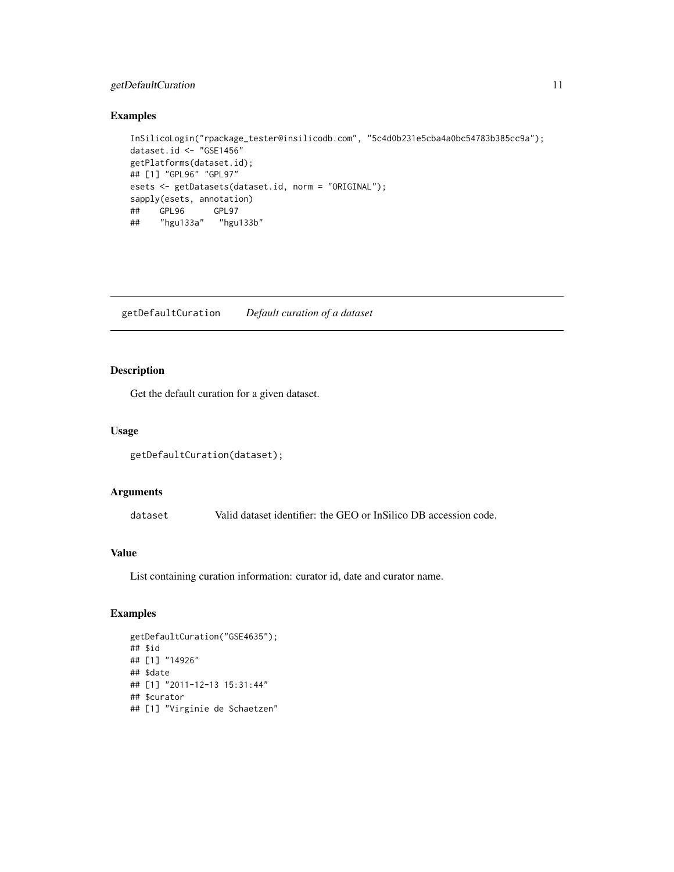## <span id="page-10-0"></span>getDefaultCuration 11

#### Examples

```
InSilicoLogin("rpackage_tester@insilicodb.com", "5c4d0b231e5cba4a0bc54783b385cc9a");
dataset.id <- "GSE1456"
getPlatforms(dataset.id);
## [1] "GPL96" "GPL97"
esets <- getDatasets(dataset.id, norm = "ORIGINAL");
sapply(esets, annotation)
## GPL96 GPL97
## "hgu133a" "hgu133b"
```
<span id="page-10-1"></span>getDefaultCuration *Default curation of a dataset*

## Description

Get the default curation for a given dataset.

## Usage

```
getDefaultCuration(dataset);
```
## Arguments

dataset Valid dataset identifier: the GEO or InSilico DB accession code.

## Value

List containing curation information: curator id, date and curator name.

```
getDefaultCuration("GSE4635");
## $id
## [1] "14926"
## $date
## [1] "2011-12-13 15:31:44"
## $curator
## [1] "Virginie de Schaetzen"
```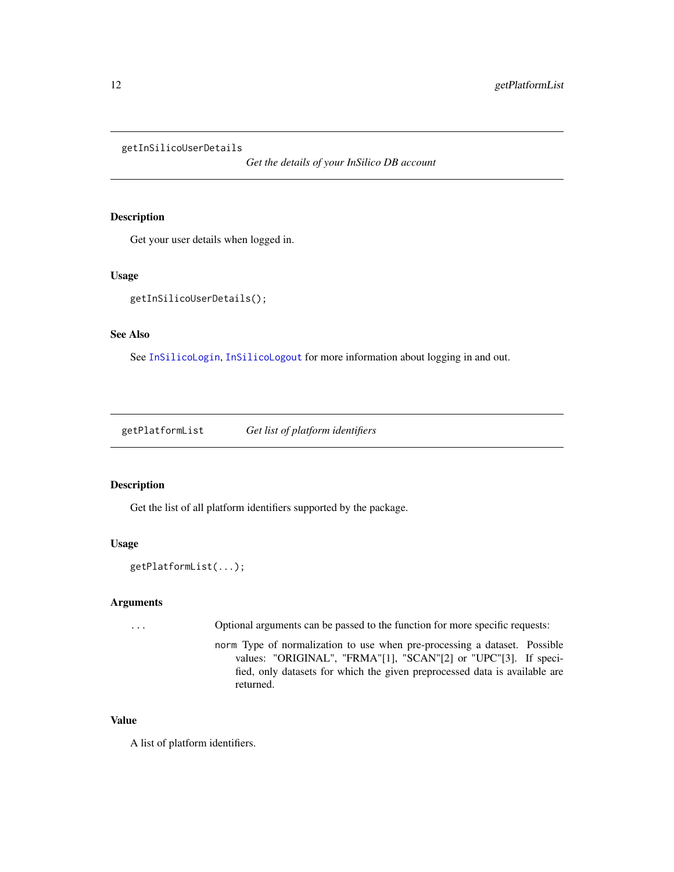<span id="page-11-1"></span><span id="page-11-0"></span>getInSilicoUserDetails

*Get the details of your InSilico DB account*

## Description

Get your user details when logged in.

#### Usage

```
getInSilicoUserDetails();
```
## See Also

See [InSilicoLogin](#page-13-1), [InSilicoLogout](#page-13-2) for more information about logging in and out.

getPlatformList *Get list of platform identifiers*

## Description

Get the list of all platform identifiers supported by the package.

## Usage

```
getPlatformList(...);
```
## Arguments

... Optional arguments can be passed to the function for more specific requests: norm Type of normalization to use when pre-processing a dataset. Possible

values: "ORIGINAL", "FRMA"[1], "SCAN"[2] or "UPC"[3]. If specified, only datasets for which the given preprocessed data is available are returned.

## Value

A list of platform identifiers.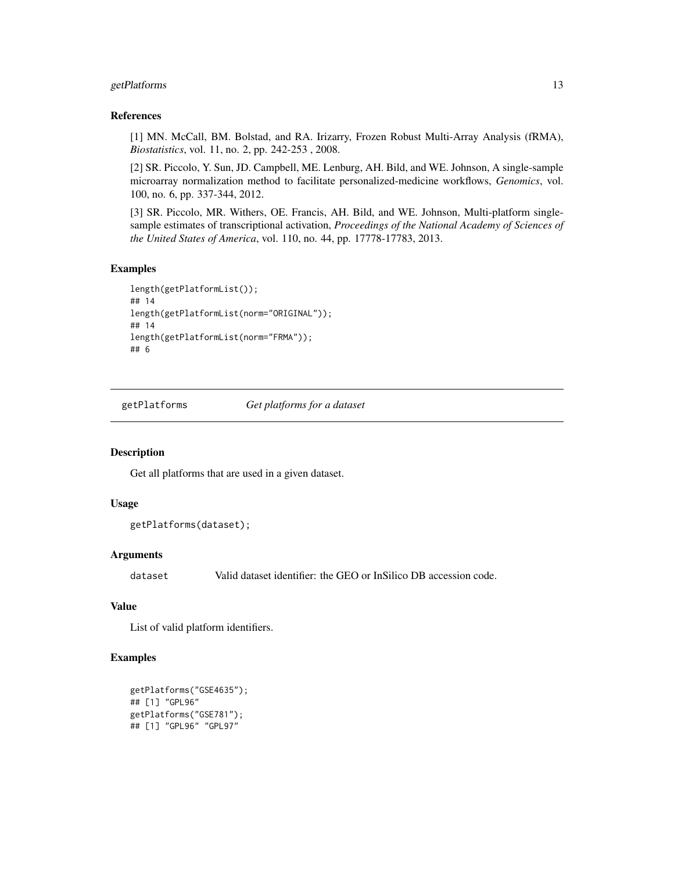## <span id="page-12-0"></span>getPlatforms 13

#### References

[1] MN. McCall, BM. Bolstad, and RA. Irizarry, Frozen Robust Multi-Array Analysis (fRMA), *Biostatistics*, vol. 11, no. 2, pp. 242-253 , 2008.

[2] SR. Piccolo, Y. Sun, JD. Campbell, ME. Lenburg, AH. Bild, and WE. Johnson, A single-sample microarray normalization method to facilitate personalized-medicine workflows, *Genomics*, vol. 100, no. 6, pp. 337-344, 2012.

[3] SR. Piccolo, MR. Withers, OE. Francis, AH. Bild, and WE. Johnson, Multi-platform singlesample estimates of transcriptional activation, *Proceedings of the National Academy of Sciences of the United States of America*, vol. 110, no. 44, pp. 17778-17783, 2013.

#### Examples

```
length(getPlatformList());
## 14
length(getPlatformList(norm="ORIGINAL"));
## 14
length(getPlatformList(norm="FRMA"));
## 6
```
<span id="page-12-1"></span>getPlatforms *Get platforms for a dataset*

#### Description

Get all platforms that are used in a given dataset.

## Usage

```
getPlatforms(dataset);
```
#### Arguments

dataset Valid dataset identifier: the GEO or InSilico DB accession code.

## Value

List of valid platform identifiers.

```
getPlatforms("GSE4635");
## [1] "GPL96"
getPlatforms("GSE781");
## [1] "GPL96" "GPL97"
```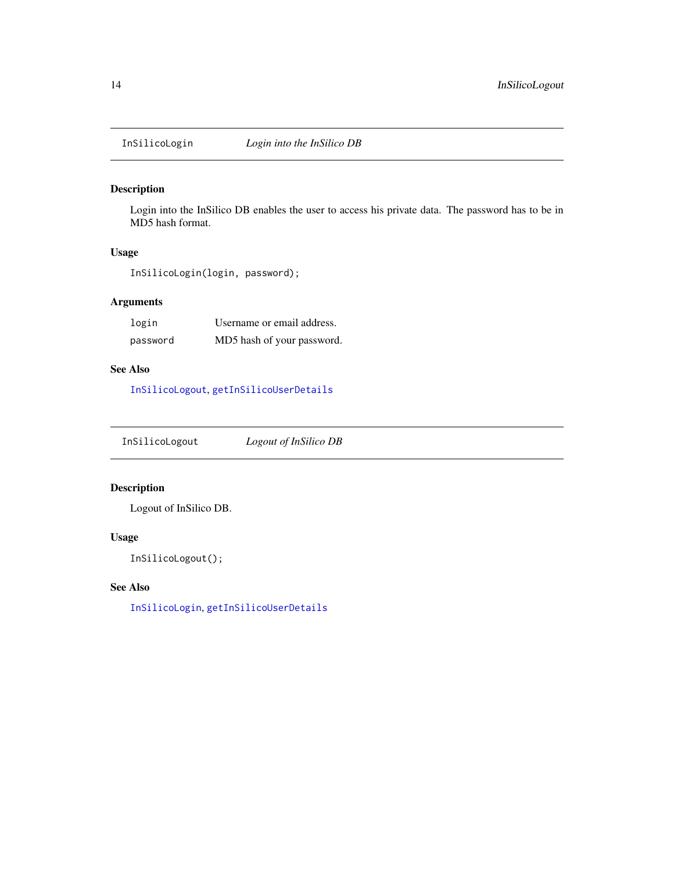<span id="page-13-1"></span><span id="page-13-0"></span>

## Description

Login into the InSilico DB enables the user to access his private data. The password has to be in MD5 hash format.

#### Usage

InSilicoLogin(login, password);

## Arguments

| login    | Username or email address. |
|----------|----------------------------|
| password | MD5 hash of your password. |

## See Also

[InSilicoLogout](#page-13-2), [getInSilicoUserDetails](#page-11-1)

<span id="page-13-2"></span>InSilicoLogout *Logout of InSilico DB*

## Description

Logout of InSilico DB.

#### Usage

InSilicoLogout();

## See Also

[InSilicoLogin](#page-13-1), [getInSilicoUserDetails](#page-11-1)